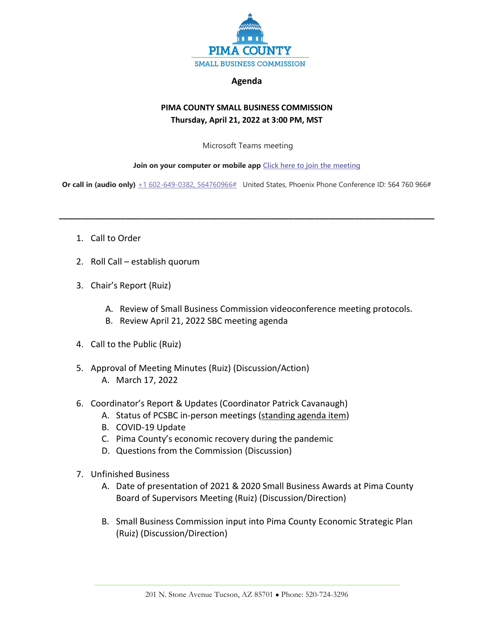

## **Agenda**

## **PIMA COUNTY SMALL BUSINESS COMMISSION Thursday, April 21, 2022 at 3:00 PM, MST**

Microsoft Teams meeting

## **Join on your computer or mobile app [Click here to join the meeting](https://teams.microsoft.com/l/meetup-join/19%3ameeting_YmZlMDNlNTUtNjY1Ny00Mjg2LTg4MDQtOGI5NDdmZWU2M2Iw%40thread.v2/0?context=%7b%22Tid%22%3a%2233b6e2c3-0b1a-4879-b741-47461a6c1a89%22%2c%22Oid%22%3a%22c8e42fc0-da56-4d64-b5c6-6be70931590e%22%7d)**

**Or call in (audio only)**  $+1\,602-649-0382$ , 564760966# United States, Phoenix Phone Conference ID: 564 760 966#

**\_\_\_\_\_\_\_\_\_\_\_\_\_\_\_\_\_\_\_\_\_\_\_\_\_\_\_\_\_\_\_\_\_\_\_\_\_\_\_\_\_\_\_\_\_\_\_\_\_\_\_\_\_\_\_\_\_\_\_\_\_\_\_\_\_\_\_\_\_\_\_\_\_\_\_\_\_\_\_\_\_\_\_\_\_**

- 1. Call to Order
- 2. Roll Call establish quorum
- 3. Chair's Report (Ruiz)
	- A. Review of Small Business Commission videoconference meeting protocols.
	- B. Review April 21, 2022 SBC meeting agenda
- 4. Call to the Public (Ruiz)
- 5. Approval of Meeting Minutes (Ruiz) (Discussion/Action) A. March 17, 2022
- 6. Coordinator's Report & Updates (Coordinator Patrick Cavanaugh)
	- A. Status of PCSBC in-person meetings (standing agenda item)
	- B. COVID-19 Update
	- C. Pima County's economic recovery during the pandemic
	- D. Questions from the Commission (Discussion)
- 7. Unfinished Business
	- A. Date of presentation of 2021 & 2020 Small Business Awards at Pima County Board of Supervisors Meeting (Ruiz) (Discussion/Direction)
	- B. Small Business Commission input into Pima County Economic Strategic Plan (Ruiz) (Discussion/Direction)